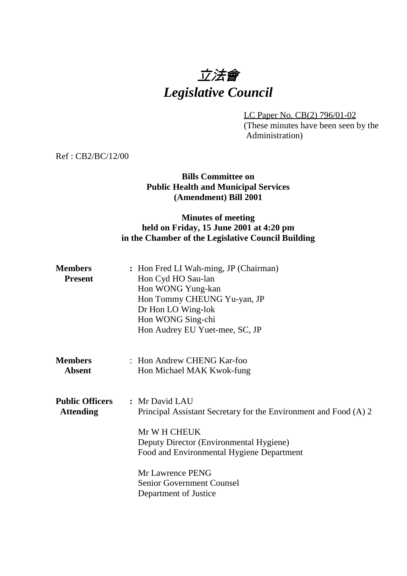# 立法會 *Legislative Council*

LC Paper No. CB(2) 796/01-02 (These minutes have been seen by the Administration)

Ref : CB2/BC/12/00

### **Bills Committee on Public Health and Municipal Services (Amendment) Bill 2001**

## **Minutes of meeting held on Friday, 15 June 2001 at 4:20 pm in the Chamber of the Legislative Council Building**

| <b>Members</b><br><b>Present</b>           | : Hon Fred LI Wah-ming, JP (Chairman)<br>Hon Cyd HO Sau-lan<br>Hon WONG Yung-kan<br>Hon Tommy CHEUNG Yu-yan, JP<br>Dr Hon LO Wing-lok<br>Hon WONG Sing-chi<br>Hon Audrey EU Yuet-mee, SC, JP |
|--------------------------------------------|----------------------------------------------------------------------------------------------------------------------------------------------------------------------------------------------|
| <b>Members</b><br><b>Absent</b>            | : Hon Andrew CHENG Kar-foo<br>Hon Michael MAK Kwok-fung                                                                                                                                      |
| <b>Public Officers</b><br><b>Attending</b> | : Mr David LAU<br>Principal Assistant Secretary for the Environment and Food (A) 2<br>Mr W H CHEUK<br>Deputy Director (Environmental Hygiene)<br>Food and Environmental Hygiene Department   |
|                                            | Mr Lawrence PENG<br><b>Senior Government Counsel</b><br>Department of Justice                                                                                                                |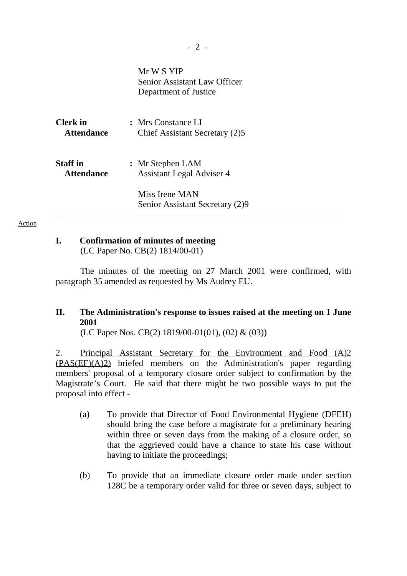|                   | Mr W S YIP<br>Senior Assistant Law Officer<br>Department of Justice |
|-------------------|---------------------------------------------------------------------|
| Clerk in          | : Mrs Constance LI                                                  |
| <b>Attendance</b> | Chief Assistant Secretary (2)5                                      |
| <b>Staff</b> in   | : Mr Stephen LAM                                                    |
| <b>Attendance</b> | <b>Assistant Legal Adviser 4</b>                                    |
|                   | Miss Irene MAN<br>Senior Assistant Secretary (2)9                   |

#### Action

# **I. Confirmation of minutes of meeting**

(LC Paper No. CB(2) 1814/00-01)

The minutes of the meeting on 27 March 2001 were confirmed, with paragraph 35 amended as requested by Ms Audrey EU.

# **II. The Administration's response to issues raised at the meeting on 1 June 2001**

(LC Paper Nos. CB(2) 1819/00-01(01), (02) & (03))

2. Principal Assistant Secretary for the Environment and Food (A)2 (PAS(EF)(A)2) briefed members on the Administration's paper regarding members' proposal of a temporary closure order subject to confirmation by the Magistrate's Court. He said that there might be two possible ways to put the proposal into effect -

- (a) To provide that Director of Food Environmental Hygiene (DFEH) should bring the case before a magistrate for a preliminary hearing within three or seven days from the making of a closure order, so that the aggrieved could have a chance to state his case without having to initiate the proceedings;
- (b) To provide that an immediate closure order made under section 128C be a temporary order valid for three or seven days, subject to

**-** 2 **-**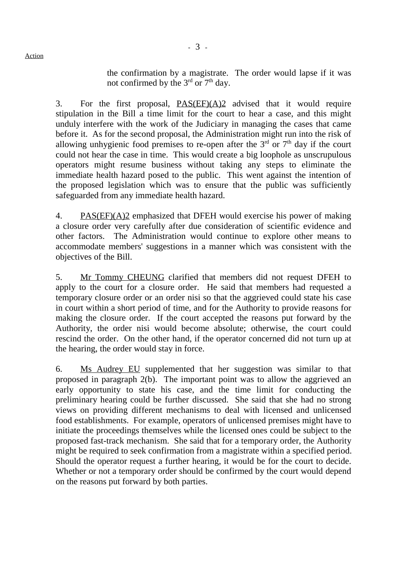the confirmation by a magistrate. The order would lapse if it was not confirmed by the  $3<sup>rd</sup>$  or  $7<sup>th</sup>$  day.

3. For the first proposal, PAS(EF)(A)2 advised that it would require stipulation in the Bill a time limit for the court to hear a case, and this might unduly interfere with the work of the Judiciary in managing the cases that came before it. As for the second proposal, the Administration might run into the risk of allowing unhygienic food premises to re-open after the  $3<sup>rd</sup>$  or  $7<sup>th</sup>$  day if the court could not hear the case in time. This would create a big loophole as unscrupulous operators might resume business without taking any steps to eliminate the immediate health hazard posed to the public. This went against the intention of the proposed legislation which was to ensure that the public was sufficiently safeguarded from any immediate health hazard.

4. PAS(EF)(A)2 emphasized that DFEH would exercise his power of making a closure order very carefully after due consideration of scientific evidence and other factors. The Administration would continue to explore other means to accommodate members' suggestions in a manner which was consistent with the objectives of the Bill.

5. Mr Tommy CHEUNG clarified that members did not request DFEH to apply to the court for a closure order. He said that members had requested a temporary closure order or an order nisi so that the aggrieved could state his case in court within a short period of time, and for the Authority to provide reasons for making the closure order. If the court accepted the reasons put forward by the Authority, the order nisi would become absolute; otherwise, the court could rescind the order. On the other hand, if the operator concerned did not turn up at the hearing, the order would stay in force.

6. Ms Audrey EU supplemented that her suggestion was similar to that proposed in paragraph 2(b). The important point was to allow the aggrieved an early opportunity to state his case, and the time limit for conducting the preliminary hearing could be further discussed. She said that she had no strong views on providing different mechanisms to deal with licensed and unlicensed food establishments. For example, operators of unlicensed premises might have to initiate the proceedings themselves while the licensed ones could be subject to the proposed fast-track mechanism. She said that for a temporary order, the Authority might be required to seek confirmation from a magistrate within a specified period. Should the operator request a further hearing, it would be for the court to decide. Whether or not a temporary order should be confirmed by the court would depend on the reasons put forward by both parties.

Action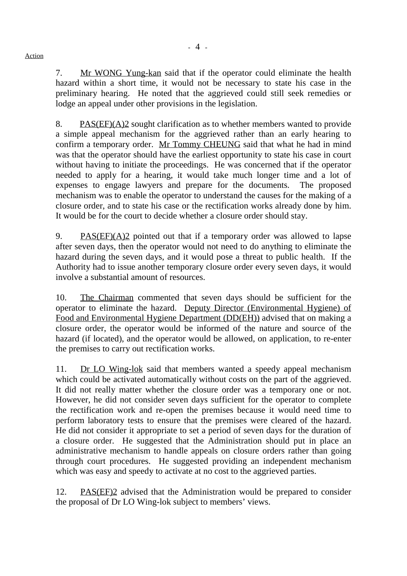7. Mr WONG Yung-kan said that if the operator could eliminate the health hazard within a short time, it would not be necessary to state his case in the preliminary hearing. He noted that the aggrieved could still seek remedies or lodge an appeal under other provisions in the legislation.

8. PAS(EF)(A)2 sought clarification as to whether members wanted to provide a simple appeal mechanism for the aggrieved rather than an early hearing to confirm a temporary order. Mr Tommy CHEUNG said that what he had in mind was that the operator should have the earliest opportunity to state his case in court without having to initiate the proceedings. He was concerned that if the operator needed to apply for a hearing, it would take much longer time and a lot of expenses to engage lawyers and prepare for the documents. The proposed mechanism was to enable the operator to understand the causes for the making of a closure order, and to state his case or the rectification works already done by him. It would be for the court to decide whether a closure order should stay.

9. PAS(EF)(A)2 pointed out that if a temporary order was allowed to lapse after seven days, then the operator would not need to do anything to eliminate the hazard during the seven days, and it would pose a threat to public health. If the Authority had to issue another temporary closure order every seven days, it would involve a substantial amount of resources.

10. The Chairman commented that seven days should be sufficient for the operator to eliminate the hazard. Deputy Director (Environmental Hygiene) of Food and Environmental Hygiene Department (DD(EH)) advised that on making a closure order, the operator would be informed of the nature and source of the hazard (if located), and the operator would be allowed, on application, to re-enter the premises to carry out rectification works.

11. Dr LO Wing-lok said that members wanted a speedy appeal mechanism which could be activated automatically without costs on the part of the aggrieved. It did not really matter whether the closure order was a temporary one or not. However, he did not consider seven days sufficient for the operator to complete the rectification work and re-open the premises because it would need time to perform laboratory tests to ensure that the premises were cleared of the hazard. He did not consider it appropriate to set a period of seven days for the duration of a closure order. He suggested that the Administration should put in place an administrative mechanism to handle appeals on closure orders rather than going through court procedures. He suggested providing an independent mechanism which was easy and speedy to activate at no cost to the aggrieved parties.

12. PAS(EF)2 advised that the Administration would be prepared to consider the proposal of Dr LO Wing-lok subject to members' views.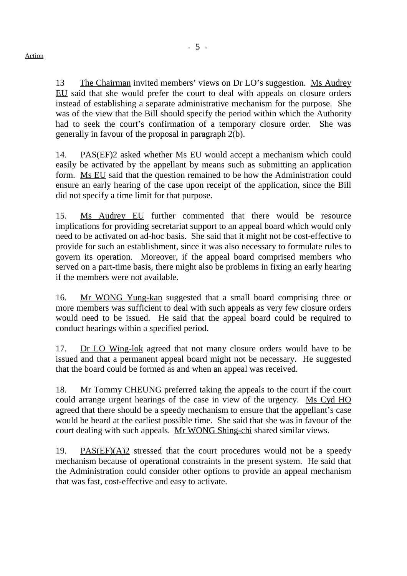13 The Chairman invited members' views on Dr LO's suggestion. Ms Audrey EU said that she would prefer the court to deal with appeals on closure orders instead of establishing a separate administrative mechanism for the purpose. She was of the view that the Bill should specify the period within which the Authority had to seek the court's confirmation of a temporary closure order. She was generally in favour of the proposal in paragraph 2(b).

14. PAS(EF)2 asked whether Ms EU would accept a mechanism which could easily be activated by the appellant by means such as submitting an application form. Ms EU said that the question remained to be how the Administration could ensure an early hearing of the case upon receipt of the application, since the Bill did not specify a time limit for that purpose.

15. Ms Audrey EU further commented that there would be resource implications for providing secretariat support to an appeal board which would only need to be activated on ad-hoc basis. She said that it might not be cost-effective to provide for such an establishment, since it was also necessary to formulate rules to govern its operation. Moreover, if the appeal board comprised members who served on a part-time basis, there might also be problems in fixing an early hearing if the members were not available.

16. Mr WONG Yung-kan suggested that a small board comprising three or more members was sufficient to deal with such appeals as very few closure orders would need to be issued. He said that the appeal board could be required to conduct hearings within a specified period.

17. Dr LO Wing-lok agreed that not many closure orders would have to be issued and that a permanent appeal board might not be necessary. He suggested that the board could be formed as and when an appeal was received.

18. Mr Tommy CHEUNG preferred taking the appeals to the court if the court could arrange urgent hearings of the case in view of the urgency. Ms Cyd HO agreed that there should be a speedy mechanism to ensure that the appellant's case would be heard at the earliest possible time. She said that she was in favour of the court dealing with such appeals. Mr WONG Shing-chi shared similar views.

19. **PAS(EF)(A)2** stressed that the court procedures would not be a speedy mechanism because of operational constraints in the present system. He said that the Administration could consider other options to provide an appeal mechanism that was fast, cost-effective and easy to activate.